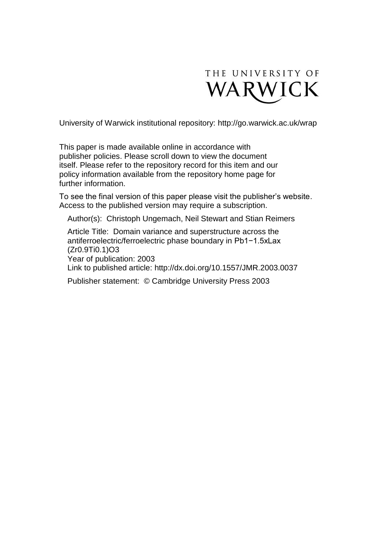

University of Warwick institutional repository:<http://go.warwick.ac.uk/wrap>

This paper is made available online in accordance with publisher policies. Please scroll down to view the document itself. Please refer to the repository record for this item and our policy information available from the repository home page for further information.

To see the final version of this paper please visit the publisher's website. Access to the published version may require a subscription.

Author(s): Christoph Ungemach, Neil Stewart and Stian Reimers

Article Title: Domain variance and superstructure across the antiferroelectric/ferroelectric phase boundary in Pb1−1.5xLax (Zr0.9Ti0.1)O3 Year of publication: 2003 Link to published article: http://dx.doi.org/10.1557/JMR.2003.0037 Publisher statement: © Cambridge University Press 2003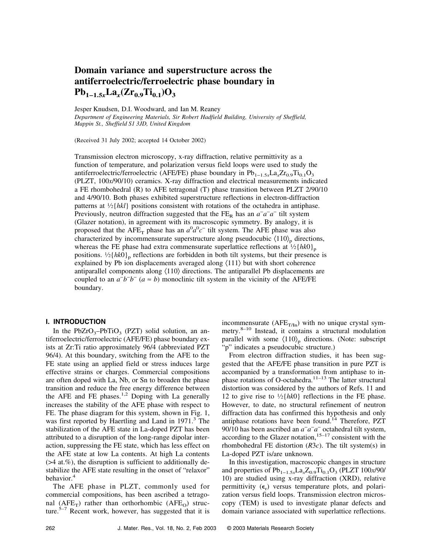# **Domain variance and superstructure across the antiferroelectric/ferroelectric phase boundary in**  $Pb_{1-1.5x}La_{x}(Zr_{0.9}Ti_{0.1})O_{3}$

Jesper Knudsen, D.I. Woodward, and Ian M. Reaney

*Department of Engineering Materials, Sir Robert Hadfield Building, University of Sheffield, Mappin St., Sheffield S1 3JD, United Kingdom*

(Received 31 July 2002; accepted 14 October 2002)

Transmission electron microscopy, x-ray diffraction, relative permittivity as a function of temperature, and polarization versus field loops were used to study the antiferroelectric/ferroelectric (AFE/FE) phase boundary in  $Pb_{1-1.5}La_{1}Zr_{0.9}Ti_{0.1}O_{3}$ (PLZT, 100*x*/90/10) ceramics. X-ray diffraction and electrical measurements indicated a FE rhombohedral (R) to AFE tetragonal (T) phase transition between PLZT 2/90/10 and 4/90/10. Both phases exhibited superstructure reflections in electron-diffraction patterns at  $\frac{1}{2}$  [hkl] positions consistent with rotations of the octahedra in antiphase. Previously, neutron diffraction suggested that the FE<sub>R</sub> has an  $a^-a^-a^-$  tilt system (Glazer notation), in agreement with its macroscopic symmetry. By analogy, it is proposed that the  $AFE$ <sub>T</sub> phase has an  $a^0a^0c^-$  tilt system. The AFE phase was also characterized by incommensurate superstructure along pseudocubic  $\langle 110 \rangle_p$  directions, whereas the FE phase had extra commensurate superlattice reflections at  $\frac{1}{2}$ {*hk*0}<sub>p</sub> positions.  $\frac{1}{2}$ {*hk*0}<sub>p</sub> reflections are forbidden in both tilt systems, but their presence is explained by Pb ion displacements averaged along  $\langle 111 \rangle$  but with short coherence antiparallel components along  $\langle 110 \rangle$  directions. The antiparallel Pb displacements are coupled to an  $a^-b^-b^-$  ( $a \approx b$ ) monoclinic tilt system in the vicinity of the AFE/FE boundary.

# **I. INTRODUCTION**

In the PbZrO<sub>3</sub>–PbTiO<sub>3</sub> (PZT) solid solution, an antiferroelectric/ferroelectric (AFE/FE) phase boundary exists at Zr:Ti ratio approximately 96/4 (abbreviated PZT 96/4). At this boundary, switching from the AFE to the FE state using an applied field or stress induces large effective strains or charges. Commercial compositions are often doped with La, Nb, or Sn to broaden the phase transition and reduce the free energy difference between the AFE and FE phases.<sup>1,2</sup> Doping with La generally increases the stability of the AFE phase with respect to FE. The phase diagram for this system, shown in Fig. 1, was first reported by Haertling and Land in 1971.<sup>3</sup> The stabilization of the AFE state in La-doped PZT has been attributed to a disruption of the long-range dipolar interaction, suppressing the FE state, which has less effect on the AFE state at low La contents. At high La contents  $($  >4 at.%), the disruption is sufficient to additionally destabilize the AFE state resulting in the onset of "relaxor" behavior.<sup>4</sup>

The AFE phase in PLZT, commonly used for commercial compositions, has been ascribed a tetragonal ( $AFE_T$ ) rather than orthorhombic ( $AFE_O$ ) structure.<sup>5–7</sup> Recent work, however, has suggested that it is incommensurate ( $AFE_{T/In}$ ) with no unique crystal symmetry.<sup>8–10</sup> Instead, it contains a structural modulation parallel with some  $\langle 110 \rangle_p$  directions. (Note: subscript "p" indicates a pseudocubic structure.)

From electron diffraction studies, it has been suggested that the AFE/FE phase transition in pure PZT is accompanied by a transformation from antiphase to inphase rotations of O-octahedra.<sup>11–13</sup> The latter structural distortion was considered by the authors of Refs. 11 and 12 to give rise to  $\frac{1}{2}$ {*hk*0} reflections in the FE phase. However, to date, no structural refinement of neutron diffraction data has confirmed this hypothesis and only antiphase rotations have been found.<sup>14</sup> Therefore,  $PZT$ 90/10 has been ascribed an *a*<sup>−</sup> *a*− *a*<sup>−</sup> octahedral tilt system, according to the Glazer notation,  $15-17$  consistent with the rhombohedral FE distortion (*R*3*c*). The tilt system(s) in La-doped PZT is/are unknown.

In this investigation, macroscopic changes in structure and properties of  $Pb_{1-1.5x}La_xZ_{0.9}Ti_{0.1}O_3$  (PLZT 100*x*/90/ 10) are studied using x-ray diffraction (XRD), relative permittivity  $(\epsilon_r)$  versus temperature plots, and polarization versus field loops. Transmission electron microscopy (TEM) is used to investigate planar defects and domain variance associated with superlattice reflections.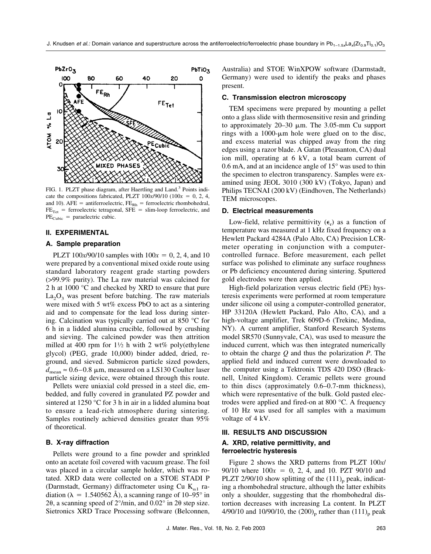

FIG. 1. PLZT phase diagram, after Haertling and Land.<sup>3</sup> Points indicate the compositions fabricated, PLZT  $100x/90/10$  ( $100x = 0, 2, 4$ , and 10). AFE = antiferroelectric,  $FE_{Rh}$  = ferroelectric rhombohedral,  $FE<sub>Tet</sub>$  = ferroelectric tetragonal, SFE = slim-loop ferroelectric, and  $PE_{Cubic}$  = paraelectric cubic.

## **II. EXPERIMENTAL**

#### **A. Sample preparation**

PLZT  $100x/90/10$  samples with  $100x = 0, 2, 4$ , and 10 were prepared by a conventional mixed oxide route using standard laboratory reagent grade starting powders (>99.9% purity). The La raw material was calcined for 2 h at 1000 °C and checked by XRD to ensure that pure  $La_2O_3$  was present before batching. The raw materials were mixed with 5 wt% excess PbO to act as a sintering aid and to compensate for the lead loss during sintering. Calcination was typically carried out at 850 °C for 6 h in a lidded alumina crucible, followed by crushing and sieving. The calcined powder was then attrition milled at 400 rpm for  $1\frac{1}{2}$  h with 2 wt% poly(ethylene glycol) (PEG, grade 10,000) binder added, dried, reground, and sieved. Submicron particle sized powders,  $d_{\text{mean}} \approx 0.6 - 0.8 \mu \text{m}$ , measured on a LS130 Coulter laser particle sizing device, were obtained through this route.

Pellets were uniaxial cold pressed in a steel die, embedded, and fully covered in granulated PZ powder and sintered at 1250 °C for 3 h in air in a lidded alumina boat to ensure a lead-rich atmosphere during sintering. Samples routinely achieved densities greater than 95% of theoretical.

## **B. X-ray diffraction**

Pellets were ground to a fine powder and sprinkled onto an acetate foil covered with vacuum grease. The foil was placed in a circular sample holder, which was rotated. XRD data were collected on a STOE STADI P (Darmstadt, Germany) diffractometer using Cu  $K_{\alpha 1}$  radiation ( $\lambda = 1.540562$  Å), a scanning range of 10–95° in 20, a scanning speed of  $2^{\circ}/$ min, and  $0.02^{\circ}$  in  $2\theta$  step size. Sietronics XRD Trace Processing software (Belconnen,

Australia) and STOE WinXPOW software (Darmstadt, Germany) were used to identify the peaks and phases present.

#### **C. Transmission electron microscopy**

TEM specimens were prepared by mounting a pellet onto a glass slide with thermosensitive resin and grinding to approximately  $20-30$   $\mu$ m. The 3.05-mm Cu support rings with a 1000- $\mu$ m hole were glued on to the disc, and excess material was chipped away from the ring edges using a razor blade. A Gatan (Pleasanton, CA) dual ion mill, operating at 6 kV, a total beam current of 0.6 mA, and at an incidence angle of 15° was used to thin the specimen to electron transparency. Samples were examined using JEOL 3010 (300 kV) (Tokyo, Japan) and Philips TECNAI (200 kV) (Eindhoven, The Netherlands) TEM microscopes.

#### **D. Electrical measurements**

Low-field, relative permittivity  $(\epsilon_r)$  as a function of temperature was measured at 1 kHz fixed frequency on a Hewlett Packard 4284A (Palo Alto, CA) Precision LCRmeter operating in conjunction with a computercontrolled furnace. Before measurement, each pellet surface was polished to eliminate any surface roughness or Pb deficiency encountered during sintering. Sputtered gold electrodes were then applied.

High-field polarization versus electric field (PE) hysteresis experiments were performed at room temperature under silicone oil using a computer-controlled generator, HP 33120A (Hewlett Packard, Palo Alto, CA), and a high-voltage amplifier, Trek 609D-6 (Trekinc, Medina, NY). A current amplifier, Stanford Research Systems model SR570 (Sunnyvale, CA), was used to measure the induced current, which was then integrated numerically to obtain the charge *Q* and thus the polarization *P*. The applied field and induced current were downloaded to the computer using a Tektronix TDS 420 DSO (Bracknell, United Kingdom). Ceramic pellets were ground to thin discs (approximately 0.6–0.7-mm thickness), which were representative of the bulk. Gold pasted electrodes were applied and fired-on at 800 °C. A frequency of 10 Hz was used for all samples with a maximum voltage of 4 kV.

#### **III. RESULTS AND DISCUSSION**

# **A. XRD, relative permittivity, and ferroelectric hysteresis**

Figure 2 shows the XRD patterns from PLZT 100*x*/ 90/10 where  $100x = 0, 2, 4,$  and 10. PZT 90/10 and PLZT 2/90/10 show splitting of the  $(111)_{p}$  peak, indicating a rhombohedral structure, although the latter exhibits only a shoulder, suggesting that the rhombohedral distortion decreases with increasing La content. In PLZT 4/90/10 and 10/90/10, the  $(200)_{\text{p}}$  rather than  $(111)_{\text{p}}$  peak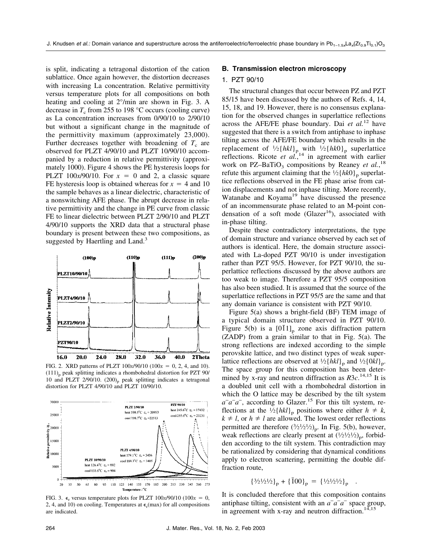is split, indicating a tetragonal distortion of the cation sublattice. Once again however, the distortion decreases with increasing La concentration. Relative permittivity versus temperature plots for all compositions on both heating and cooling at 2°/min are shown in Fig. 3. A decrease in  $T_c$  from 255 to 198 °C occurs (cooling curve) as La concentration increases from 0/90/10 to 2/90/10 but without a significant change in the magnitude of the permittivity maximum (approximately 23,000). Further decreases together with broadening of  $T_c$  are observed for PLZT 4/90/10 and PLZT 10/90/10 accompanied by a reduction in relative permittivity (approximately 1000). Figure 4 shows the PE hysteresis loops for PLZT 100 $x/90/10$ . For  $x = 0$  and 2, a classic square FE hysteresis loop is obtained whereas for  $x = 4$  and 10 the sample behaves as a linear dielectric, characteristic of a nonswitching AFE phase. The abrupt decrease in relative permittivity and the change in PE curve from classic FE to linear dielectric between PLZT 2/90/10 and PLZT 4/90/10 supports the XRD data that a structural phase boundary is present between these two compositions, as suggested by Haertling and Land.<sup>3</sup>



FIG. 2. XRD patterns of PLZT  $100x/90/10$  ( $100x = 0, 2, 4$ , and 10).  $(111)$ <sub>n</sub> peak splitting indicates a rhombohedral distortion for PZT 90/ 10 and PLZT  $2/90/10$ .  $(200)$ <sub>p</sub> peak splitting indicates a tetragonal distortion for PLZT 4/90/10 and PLZT 10/90/10.



FIG. 3.  $\epsilon$ <sub>r</sub> versus temperature plots for PLZT 100*x*/90/10 (100*x* = 0, 2, 4, and 10) on cooling. Temperatures at  $\epsilon_r$ (max) for all compositions are indicated.

## **B. Transmission electron microscopy**

# 1. PZT 90/10

The structural changes that occur between PZ and PZT 85/15 have been discussed by the authors of Refs. 4, 14, 15, 18, and 19. However, there is no consensus explanation for the observed changes in superlattice reflections across the AFE/FE phase boundary. Dai *et al.*<sup>12</sup> have suggested that there is a switch from antiphase to inphase tilting across the AFE/FE boundary which results in the replacement of  $\frac{1}{2}$ {*hkl*}<sub>p</sub> with  $\frac{1}{2}$ {*hk*0}<sub>p</sub> superlattice reflections. Ricote *et al.*<sup>14</sup> in agreement with earlier work on PZ-BaTiO<sub>3</sub> compositions by Reaney *et al.*,<sup>18</sup> refute this argument claiming that the  $\frac{1}{2}$ {*hk*0}<sub>p</sub> superlattice reflections observed in the FE phase arise from cation displacements and not inphase tilting. More recently, Watanabe and Koyama<sup>19</sup> have discussed the presence of an incommensurate phase related to an M-point condensation of a soft mode (Glazer<sup>16</sup>), associated with in-phase tilting.

Despite these contradictory interpretations, the type of domain structure and variance observed by each set of authors is identical. Here, the domain structure associated with La-doped PZT 90/10 is under investigation rather than PZT 95/5. However, for PZT 90/10, the superlattice reflections discussed by the above authors are too weak to image. Therefore a PZT 95/5 composition has also been studied. It is assumed that the source of the superlattice reflections in PZT 95/5 are the same and that any domain variance is consistent with PZT 90/10.

Figure 5(a) shows a bright-field (BF) TEM image of a typical domain structure observed in PZT 90/10. Figure 5(b) is a  $[011]_p$  zone axis diffraction pattern (ZADP) from a grain similar to that in Fig. 5(a). The strong reflections are indexed according to the simple perovskite lattice, and two distinct types of weak superlattice reflections are observed at  $\frac{1}{2}$ {*hkl*}<sub>p</sub> and  $\frac{1}{2}$ {0*kl*}<sub>p</sub>. The space group for this composition has been determined by x-ray and neutron diffraction as *R*3*c*. 14,15 It is a doubled unit cell with a rhombohedral distortion in which the O lattice may be described by the tilt system *a*<sup>−</sup>*a*<sup>−</sup>*a*<sup>−</sup>, according to Glazer.<sup>15</sup> For this tilt system, reflections at the  $\frac{1}{2}$ {*hkl*}<sub>p</sub> positions where either  $h \neq k$ ,  $k \neq l$ , or  $h \neq l$  are allowed. The lowest order reflections permitted are therefore  $(3/21/21/2)_{\text{p}}$ . In Fig. 5(b), however, weak reflections are clearly present at  $(\frac{1}{2}i/2i/2)_p$ , forbidden according to the tilt system. This contradiction may be rationalized by considering that dynamical conditions apply to electron scattering, permitting the double diffraction route,

$$
{3/2!/2!/2}_p + {100}_p = {1/2!/2!/2}_p .
$$

It is concluded therefore that this composition contains antiphase tilting, consistent with an *a*<sup>−</sup> *a*− *a*<sup>−</sup> space group, in agreement with x-ray and neutron diffraction. $14,15$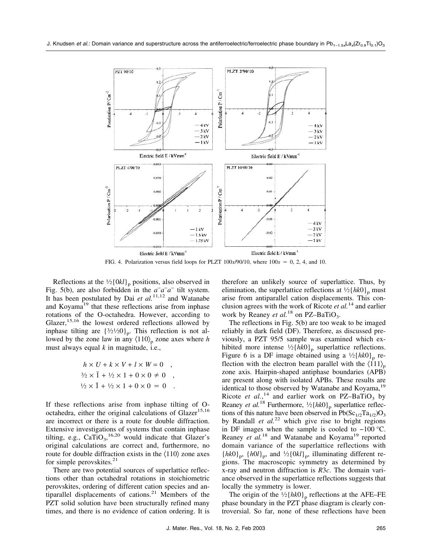

FIG. 4. Polarization versus field loops for PLZT  $100x/90/10$ , where  $100x = 0, 2, 4$ , and 10.

Reflections at the  $\frac{1}{2}$ [0*kl*]<sub>p</sub> positions, also observed in Fig. 5(b), are also forbidden in the  $a^a - a^-$  tilt system. It has been postulated by Dai *et al.*11,12 and Watanabe and Koyama<sup>19</sup> that these reflections arise from inphase rotations of the O-octahedra. However, according to Glazer,  $15,16$  the lowest ordered reflections allowed by inphase tilting are  $\{3/2/20\}_p$ . This reflection is not allowed by the zone law in any  $\langle 110 \rangle_p$  zone axes where *h* must always equal *k* in magnitude, i.e.,

$$
h \times U + k \times V + l \times W = 0 ,
$$
  
\n
$$
\frac{3}{2} \times \bar{1} + \frac{1}{2} \times 1 + 0 \times 0 \neq 0 ,
$$
  
\n
$$
\frac{1}{2} \times \bar{1} + \frac{1}{2} \times 1 + 0 \times 0 = 0 .
$$

If these reflections arise from inphase tilting of Ooctahedra, either the original calculations of  $Glazer^{15,16}$ are incorrect or there is a route for double diffraction. Extensive investigations of systems that contain inphase tilting, e.g.,  $CaTiO<sub>3</sub>$ ,  $^{16,20}$  would indicate that Glazer's original calculations are correct and, furthermore, no route for double diffraction exists in the  $\langle 110 \rangle$  zone axes for simple perovskites. $21$ 

There are two potential sources of superlattice reflections other than octahedral rotations in stoichiometric perovskites, ordering of different cation species and antiparallel displacements of cations. $21$  Members of the PZT solid solution have been structurally refined many times, and there is no evidence of cation ordering. It is

therefore an unlikely source of superlattice. Thus, by elimination, the superlattice reflections at  $\frac{1}{2}$ {*hk*0}<sub>p</sub> must arise from antiparallel cation displacements. This conclusion agrees with the work of Ricote *et al.*<sup>14</sup> and earlier work by Reaney *et al.*<sup>18</sup> on PZ–BaTiO<sub>3</sub>.

The reflections in Fig. 5(b) are too weak to be imaged reliably in dark field (DF). Therefore, as discussed previously, a PZT 95/5 sample was examined which exhibited more intense  $\frac{1}{2}$ {*hk*0}<sub>p</sub> superlattice reflections. Figure 6 is a DF image obtained using a  $\frac{1}{2}$ {*hk*0}<sub>p</sub> reflection with the electron beam parallel with the  $\langle 111 \rangle_p$ zone axis. Hairpin-shaped antiphase boundaries (APB) are present along with isolated APBs. These results are identical to those observed by Watanabe and Koyama,<sup>19</sup> Ricote *et al.*<sup>14</sup> and earlier work on PZ–BaTiO<sub>3</sub> by Reaney *et al.*<sup>18</sup> Furthermore,  $\frac{1}{2}$ {*hk*0}<sub>p</sub> superlattice reflections of this nature have been observed in Pb( $Sc_{1/2}Ta_{1/2}$ ) $O_3$ by Randall *et al.*<sup>22</sup> which give rise to bright regions in DF images when the sample is cooled to −100 °C. Reaney *et al.*<sup>18</sup> and Watanabe and Koyama<sup>19</sup> reported domain variance of the superlattice reflections with  ${hk0}_p$ ,  ${h0l}_p$ , and  ${1/2} {0kl}_p$ , illuminating different regions. The macroscopic symmetry as determined by x-ray and neutron diffraction is *R*3*c*. The domain variance observed in the superlattice reflections suggests that locally the symmetry is lower.

The origin of the  $\frac{1}{2}$ {*hk*0}<sub>p</sub> reflections at the AFE–FE phase boundary in the PZT phase diagram is clearly controversial. So far, none of these reflections have been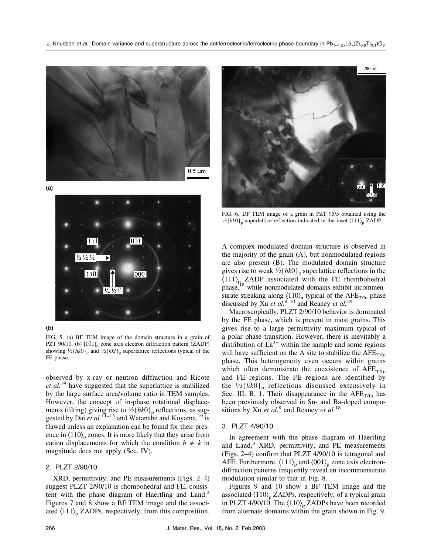

 $(a)$ 





FIG. 5. (a) BF TEM image of the domain structure in a grain of PZT 90/10. (b)  $[0\overline{1}1]_p$  zone axis electron diffraction pattern (ZADP) showing  $\frac{1}{2}$ {*hk*0}<sub>p</sub> and  $\frac{1}{2}$ {*hkl*}<sub>p</sub> superlattice reflections typical of the FE phase.

observed by x-ray or neutron diffraction and Ricote *et al.*<sup>14</sup> have suggested that the superlattice is stabilized by the large surface area/volume ratio in TEM samples. However, the concept of in-phase rotational displacements (tilting) giving rise to  $\frac{1}{2}$ { $h k0$ }<sub>p</sub> reflections, as suggested by Dai *et al.*<sup>11–13</sup> and Watanabe and Koyama,<sup>19</sup> is flawed unless an explanation can be found for their presence in  $\langle 110 \rangle_p$  zones. It is more likely that they arise from cation displacements for which the condition  $h \neq k$  in magnitude does not apply (Sec. IV).

# 2. PLZT 2/90/10

XRD, permittivity, and PE measurements (Figs. 2–4) suggest PLZT 2/90/10 is rhombohedral and FE, consistent with the phase diagram of Haertling and Land.<sup>3</sup> Figures 7 and 8 show a BF TEM image and the associated  $\langle 111 \rangle_p$  ZADPs, respectively, from this composition.



FIG. 6. DF TEM image of a grain in PZT 95/5 obtained using the  $1/2$ {*hk*0}<sub>p</sub> superlattice reflection indicated in the inset  $\langle 111 \rangle$ <sub>p</sub> ZADP.

A complex modulated domain structure is observed in the majority of the grain (A), but nonmodulated regions are also present (B). The modulated domain structure gives rise to weak  $\frac{1}{2}$ {*hk*0}<sub>p</sub> superlattice reflections in the  $\langle 111 \rangle_p$  ZADP associated with the FE rhombohedral phase,<sup>18</sup> while nonmodulated domains exhibit incommensurate streaking along  $\langle 110 \rangle_p$  typical of the AFE<sub>T/In</sub> phase discussed by Xu *et al.*8–10 and Reaney *et al.*<sup>18</sup>

Macroscopically, PLZT 2/90/10 behavior is dominated by the FE phase, which is present in most grains. This gives rise to a large permittivity maximum typical of a polar phase transition. However, there is inevitably a distribution of  $La^{3+}$  within the sample and some regions will have sufficient on the A site to stabilize the  $AFE_{T/In}$ phase. This heterogeneity even occurs within grains which often demonstrate the coexistence of  $AFE_{T/In}$ and FE regions. The FE regions are identified by the  $\frac{1}{2}$ {*hk*0}<sub>p</sub> reflections discussed extensively in Sec. III. B. 1. Their disappearance in the  $AFE_{T/In}$  has been previously observed in Sn- and Ba-doped compositions by Xu *et al.*<sup>8</sup> and Reaney *et al.*<sup>18</sup>

### 3. PLZT 4/90/10

In agreement with the phase diagram of Haertling and Land, $3$  XRD, permittivity, and PE measurements (Figs. 2–4) confirm that PLZT 4/90/10 is tetragonal and AFE. Furthermore,  $\langle 111 \rangle_p$  and  $\langle 001 \rangle_p$  zone axis electrondiffraction patterns frequently reveal an incommensurate modulation similar to that in Fig. 8.

Figures 9 and 10 show a BF TEM image and the associated  $\langle 110 \rangle_p$  ZADPs, respectively, of a typical grain in PLZT 4/90/10. The  $\langle 110 \rangle_p$  ZADPs have been recorded from alternate domains within the grain shown in Fig. 9.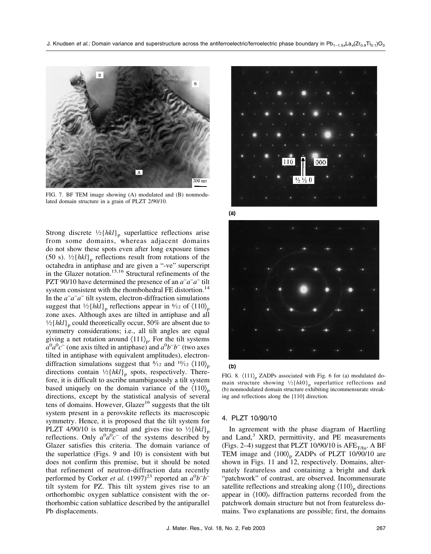

FIG. 7. BF TEM image showing (A) modulated and (B) nonmodulated domain structure in a grain of PLZT 2/90/10.

Strong discrete  $\frac{1}{2}$ {*hkl*}<sub>p</sub> superlattice reflections arise from some domains, whereas adjacent domains do not show these spots even after long exposure times (50 s).  $\frac{1}{2}$ {*hkl*}<sub>p</sub> reflections result from rotations of the octahedra in antiphase and are given a "-ve" superscript in the Glazer notation.<sup>15,16</sup> Structural refinements of the PZT 90/10 have determined the presence of an *a*<sup>−</sup> *a*− *a*<sup>−</sup> tilt system consistent with the rhombohedral FE distortion.<sup>14</sup> In the *a*<sup>−</sup> *a*− *a*<sup>−</sup> tilt system, electron-diffraction simulations suggest that  $\frac{1}{2}$ {*hkl*}<sub>p</sub> reflections appear in  $\frac{6}{12}$  of  $\langle 110 \rangle_p$ zone axes. Although axes are tilted in antiphase and all  $\frac{1}{2}$ {*hkl*}<sub>p</sub> could theoretically occur, 50% are absent due to symmetry considerations; i.e., all tilt angles are equal giving a net rotation around  $\langle 111 \rangle_p$ . For the tilt systems  $a^0 a^0 c^-$  (one axis tilted in antiphase) and  $a^0 b^- b^-$  (two axes tilted in antiphase with equivalent amplitudes), electrondiffraction simulations suggest that  $\frac{8}{12}$  and  $\frac{10}{12}$   $\langle 110 \rangle_p$ directions contain  $\frac{1}{2}$ {*hkl*}<sub>p</sub> spots, respectively. Therefore, it is difficult to ascribe unambiguously a tilt system based uniquely on the domain variance of the  $\langle 110 \rangle_p$ directions, except by the statistical analysis of several tens of domains. However, Glazer<sup>16</sup> suggests that the tilt system present in a perovskite reflects its macroscopic symmetry. Hence, it is proposed that the tilt system for PLZT 4/90/10 is tetragonal and gives rise to  $\frac{1}{2}$ {*hkl*}<sub>n</sub> reflections. Only  $a^0 a^0 c^-$  of the systems described by Glazer satisfies this criteria. The domain variance of the superlattice (Figs. 9 and 10) is consistent with but does not confirm this premise, but it should be noted that refinement of neutron-diffraction data recently performed by Corker *et al.* (1997)<sup>23</sup> reported an  $a^0b^-b^$ tilt system for PZ. This tilt system gives rise to an orthorhombic oxygen sublattice consistent with the orthorhombic cation sublattice described by the antiparallel Pb displacements.



 $(a)$ 





FIG. 8.  $\langle 111 \rangle_p$  ZADPs associated with Fig. 6 for (a) modulated domain structure showing  $\frac{1}{2}$ {*hk*0}<sub>p</sub> superlattice reflections and (b) nonmodulated domain structure exhibiting incommensurate streaking and reflections along the [110] direction.

#### 4. PLZT 10/90/10

In agreement with the phase diagram of Haertling and Land,<sup>3</sup> XRD, permittivity, and PE measurements (Figs. 2–4) suggest that PLZT 10/90/10 is  $AFE<sub>T/In</sub>$ . A BF TEM image and  $\langle 100 \rangle_p$  ZADPs of PLZT 10/90/10 are shown in Figs. 11 and 12, respectively. Domains, alternately featureless and containing a bright and dark "patchwork" of contrast, are observed. Incommensurate satellite reflections and streaking along  $\langle 110 \rangle_p$  directions appear in  $\langle 100 \rangle$  diffraction patterns recorded from the patchwork domain structure but not from featureless domains. Two explanations are possible; first, the domains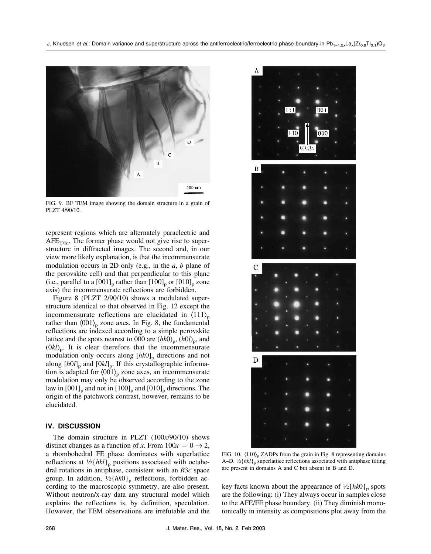

FIG. 9. BF TEM image showing the domain structure in a grain of PLZT 4/90/10.

represent regions which are alternately paraelectric and  $AFE_{T/In}$ . The former phase would not give rise to superstructure in diffracted images. The second and, in our view more likely explanation, is that the incommensurate modulation occurs in 2D only (e.g., in the *a*, *b* plane of the perovskite cell) and that perpendicular to this plane (i.e., parallel to a  $[001]_p$  rather than  $[100]_p$  or  $[010]_p$  zone axis) the incommensurate reflections are forbidden.

Figure 8 (PLZT 2/90/10) shows a modulated superstructure identical to that observed in Fig. 12 except the incommensurate reflections are elucidated in  $\langle 111 \rangle_p$ rather than  $\langle 001 \rangle_p$  zone axes. In Fig. 8, the fundamental reflections are indexed according to a simple perovskite lattice and the spots nearest to 000 are  $(hk0)$ <sub>p</sub>,  $(h0l)$ <sub>p</sub>, and  $(0kl)$ <sub>p</sub>. It is clear therefore that the incommensurate modulation only occurs along  $[hk0]_p$  directions and not along  $[h0l]_p$  and  $[0kl]_p$ . If this crystallographic information is adapted for  $\langle 001 \rangle_p$  zone axes, an incommensurate modulation may only be observed according to the zone law in  $[001]_{\text{p}}$  and not in  $[100]_{\text{p}}$  and  $[010]_{\text{p}}$  directions. The origin of the patchwork contrast, however, remains to be elucidated.

### **IV. DISCUSSION**

The domain structure in PLZT (100*x*/90/10) shows distinct changes as a function of *x*. From  $100x = 0 \rightarrow 2$ , a rhombohedral FE phase dominates with superlattice reflections at  $\frac{1}{2}$ {*hkl*}<sub>p</sub> positions associated with octahedral rotations in antiphase, consistent with an *R*3*c* space group. In addition,  $\frac{1}{2}$ {*hk*0}<sub>p</sub> reflections, forbidden according to the macroscopic symmetry, are also present. Without neutron/x-ray data any structural model which explains the reflections is, by definition, speculation. However, the TEM observations are irrefutable and the



FIG. 10.  $\langle 110 \rangle_p$  ZADPs from the grain in Fig. 8 representing domains A–D.  $\frac{1}{2}$ {*hkl*}<sub>p</sub> superlattice reflections associated with antiphase tilting are present in domains A and C but absent in B and D.

key facts known about the appearance of  $\frac{1}{2}$ {*hk*0}<sub>p</sub> spots are the following: (i) They always occur in samples close to the AFE/FE phase boundary. (ii) They diminish monotonically in intensity as compositions plot away from the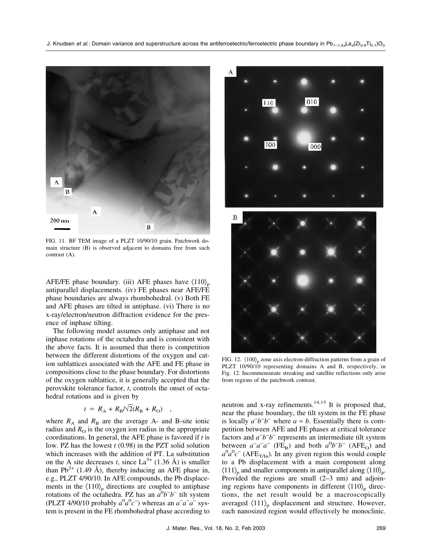

FIG. 11. BF TEM image of a PLZT 10/90/10 grain. Patchwork domain structure (B) is observed adjacent to domains free from such contrast (A).

AFE/FE phase boundary. (iii) AFE phases have  $\langle 110 \rangle_p$ antiparallel displacements. (iv) FE phases near AFE/FE phase boundaries are always rhombohedral. (v) Both FE and AFE phases are tilted in antiphase. (vi) There is no x-ray/electron/neutron diffraction evidence for the presence of inphase tilting.

The following model assumes only antiphase and not inphase rotations of the octahedra and is consistent with the above facts. It is assumed that there is competition between the different distortions of the oxygen and cation sublattices associated with the AFE and FE phase in compositions close to the phase boundary. For distortions of the oxygen sublattice, it is generally accepted that the perovskite tolerance factor, *t*, controls the onset of octahedral rotations and is given by

$$
t = R_{\rm A} + R_{\rm B}/\sqrt{2(R_{\rm B} + R_{\rm O})} \quad ,
$$

where  $R_A$  and  $R_B$  are the average A- and B-site ionic radius and  $R<sub>O</sub>$  is the oxygen ion radius in the appropriate coordinations. In general, the AFE phase is favored if *t* is low. PZ has the lowest *t* (0.98) in the PZT solid solution which increases with the addition of PT. La substitution on the A site decreases *t*, since  $La^{3+}$  (1.36 Å) is smaller than  $Pb^{2+}$  (1.49 Å), thereby inducing an AFE phase in, e.g., PLZT 4/90/10. In AFE compounds, the Pb displacements in the  $\langle 110 \rangle_p$  directions are coupled to antiphase rotations of the octahedra. PZ has an  $a^0b^-b^-$  tilt system (PLZT 4/90/10 probably  $a^0 a^0 c^-$ ) whereas an  $a^- a^- a^-$  system is present in the FE rhombohedral phase according to



FIG. 12.  $\langle 100 \rangle_p$  zone axis electron-diffraction patterns from a grain of PLZT 10/90/10 representing domains A and B, respectively, in Fig. 12. Incommensurate streaking and satellite reflections only arise from regions of the patchwork contrast.

neutron and x-ray refinements.<sup>14,15</sup> It is proposed that, near the phase boundary, the tilt system in the FE phase is locally  $a^-b^-b^-$  where  $a \approx b$ . Essentially there is competition between AFE and FE phases at critical tolerance factors and *a*<sup>−</sup> *b*− *b*<sup>−</sup> represents an intermediate tilt system between  $a^a a^- a^-$  (FE<sub>R</sub>) and both  $a^0 b^- b^-$  (AFE<sub>O</sub>) and  $a^0 a^0 c^-$  (AFE<sub>T/In</sub>). In any given region this would couple to a Pb displacement with a main component along  $\langle 111 \rangle_p$  and smaller components in antiparallel along  $\langle 110 \rangle_p$ . Provided the regions are small (2–3 nm) and adjoining regions have components in different  $\langle 110 \rangle_p$  directions, the net result would be a macroscopically averaged  $\langle 111 \rangle_p$  displacement and structure. However, each nanosized region would effectively be monoclinic.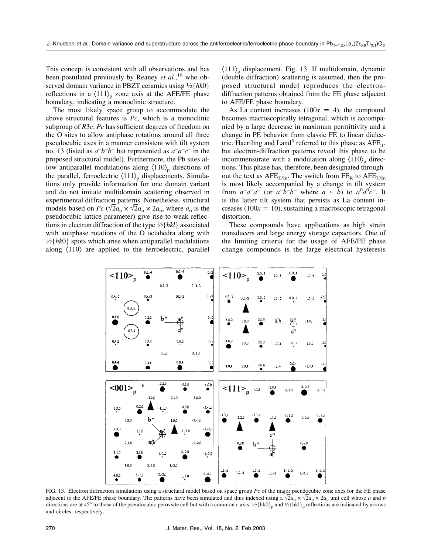This concept is consistent with all observations and has been postulated previously by Reaney *et al.*, <sup>18</sup> who observed domain variance in PBZT ceramics using 1⁄2{*hk*0} reflections in a  $\langle 111 \rangle_p$  zone axis at the AFE/FE phase boundary, indicating a monoclinic structure.

The most likely space group to accommodate the above structural features is *Pc*, which is a monoclinic subgroup of *R*3*c*. *Pc* has sufficient degrees of freedom on the O sites to allow antiphase rotations around all three pseudocubic axes in a manner consistent with tilt system no. 13 (listed as  $a^-b^-b^-$  but represented as  $a^-a^-c^-$  in the proposed structural model). Furthermore, the Pb sites allow antiparallel modulations along  $\langle 110 \rangle_p$  directions of the parallel, ferroelectric  $\langle 111 \rangle_p$  displacements. Simulations only provide information for one domain variant and do not imitate multidomain scattering observed in experimental diffraction patterns. Nonetheless, structural models based on *Pc* ( $\sqrt{2}a_0 \times \sqrt{2}a_0 \times 2a_0$ , where  $a_0$  is the pseudocubic lattice parameter) give rise to weak reflections in electron diffraction of the type 1⁄2{*hkl*} associated with antiphase rotations of the O octahedra along with  $1/2$ { $hk$ 0} spots which arise when antiparallel modulations along 〈110〉 are applied to the ferroelectric, parallel  $\langle 111 \rangle_p$  displacement, Fig. 13. If multidomain, dynamic (double diffraction) scattering is assumed, then the proposed structural model reproduces the electrondiffraction patterns obtained from the FE phase adjacent to AFE/FE phase boundary.

As La content increases  $(100x = 4)$ , the compound becomes macroscopically tetragonal, which is accompanied by a large decrease in maximum permittivity and a change in PE behavior from classic FE to linear dielectric. Haertling and Land<sup>3</sup> referred to this phase as  $AFE_T$ , but electron-diffraction patterns reveal this phase to be incommensurate with a modulation along  $\langle 110 \rangle$ <sub>p</sub> directions. This phase has, therefore, been designated throughout the text as  $AFE_{T/In}$ . The switch from  $FE_R$  to  $AFE_{T/In}$ is most likely accompanied by a change in tilt system from  $a^{\dagger} a^{\dagger} a^{\dagger}$  (or  $a^{\dagger} b^{\dagger} b^{\dagger}$  where  $a \approx b$ ) to  $a^0 a^0 c^{\dagger}$ . It is the latter tilt system that persists as La content increases ( $100x = 10$ ), sustaining a macroscopic tetragonal distortion.

These compounds have applications as high strain transducers and large energy storage capacitors. One of the limiting criteria for the usage of AFE/FE phase change compounds is the large electrical hysteresis



FIG. 13. Electron diffraction simulations using a structural model based on space group *Pc* of the major pseudocubic zone axes for the FE phase adjacent to the AFE/FE phase boundary. The patterns have been simulated and thus indexed using a  $\sqrt{2}a_0 \times \sqrt{2}a_0 \times 2a_0$  unit cell whose *a* and *b* directions are at 45° to those of the pseudocubic perovsite cell but with a common *c* axis.  $\frac{1}{2}$ {hk0}<sub>p</sub> and  $\frac{1}{2}$ {hk1}<sub>p</sub> reflections are indicated by arrows and circles, respectively.